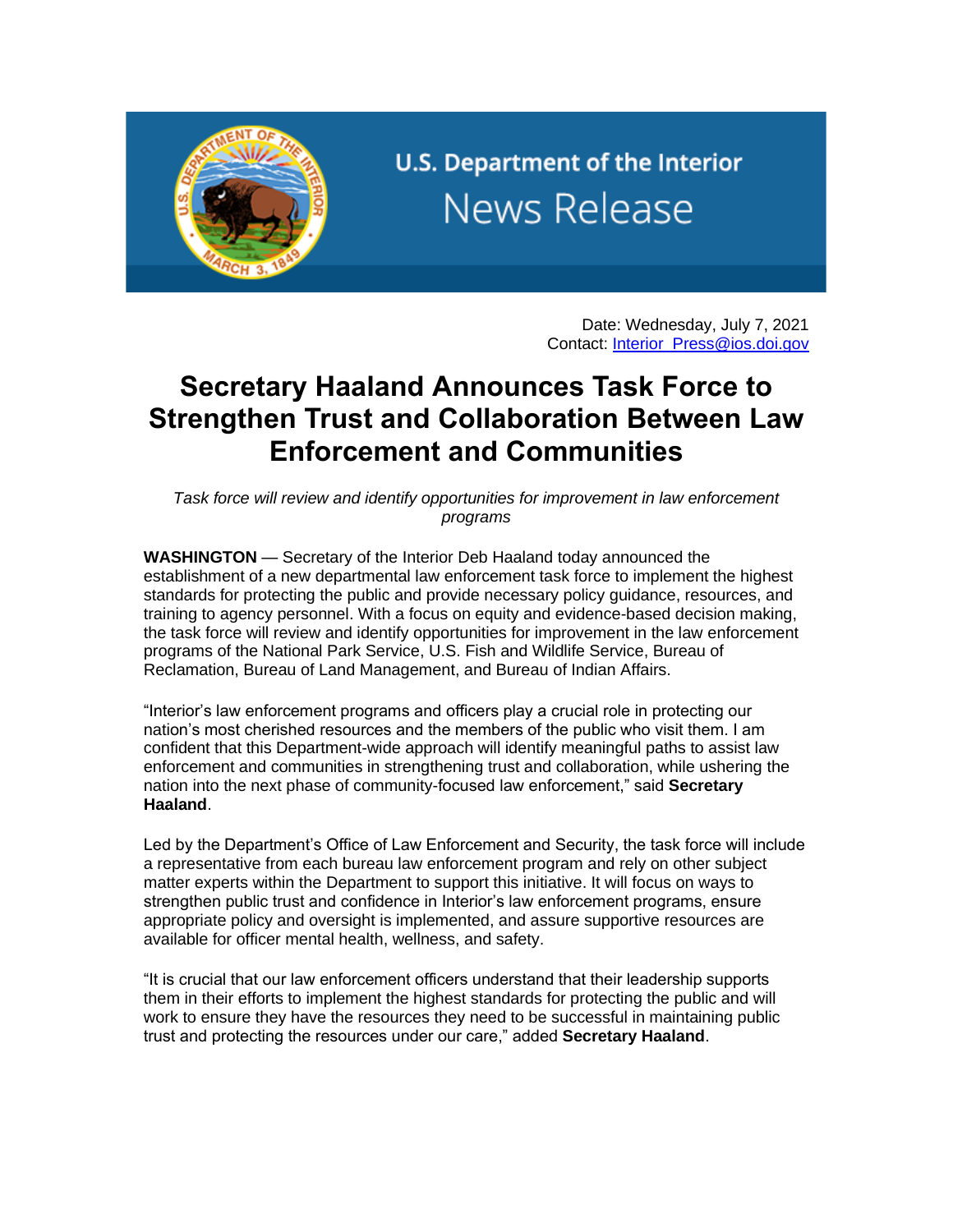

U.S. Department of the Interior **News Release** 

> Date: Wednesday, July 7, 2021 Contact: [Interior\\_Press@ios.doi.gov](mailto:Interior_Press@ios.doi.gov)

## **Secretary Haaland Announces Task Force to Strengthen Trust and Collaboration Between Law Enforcement and Communities**

*Task force will review and identify opportunities for improvement in law enforcement programs*

**WASHINGTON** — Secretary of the Interior Deb Haaland today announced the establishment of a new departmental law enforcement task force to implement the highest standards for protecting the public and provide necessary policy guidance, resources, and training to agency personnel. With a focus on equity and evidence-based decision making, the task force will review and identify opportunities for improvement in the law enforcement programs of the National Park Service, U.S. Fish and Wildlife Service, Bureau of Reclamation, Bureau of Land Management, and Bureau of Indian Affairs.

"Interior's law enforcement programs and officers play a crucial role in protecting our nation's most cherished resources and the members of the public who visit them. I am confident that this Department-wide approach will identify meaningful paths to assist law enforcement and communities in strengthening trust and collaboration, while ushering the nation into the next phase of community-focused law enforcement," said **Secretary Haaland**.

Led by the Department's Office of Law Enforcement and Security, the task force will include a representative from each bureau law enforcement program and rely on other subject matter experts within the Department to support this initiative. It will focus on ways to strengthen public trust and confidence in Interior's law enforcement programs, ensure appropriate policy and oversight is implemented, and assure supportive resources are available for officer mental health, wellness, and safety.

"It is crucial that our law enforcement officers understand that their leadership supports them in their efforts to implement the highest standards for protecting the public and will work to ensure they have the resources they need to be successful in maintaining public trust and protecting the resources under our care," added **Secretary Haaland**.